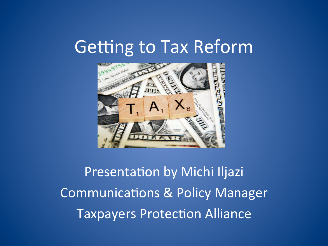#### Getting to Tax Reform



Presentation by Michi Iljazi Communications & Policy Manager **Taxpayers Protection Alliance**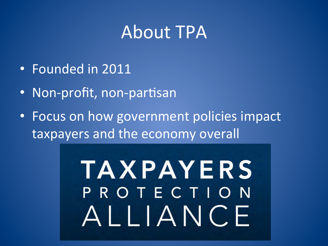#### **About TPA**

- Founded in 2011
- Non-profit, non-partisan
- Focus on how government policies impact taxpayers and the economy overall

# **TAXPAYERS** PROTECTION ALLIANCE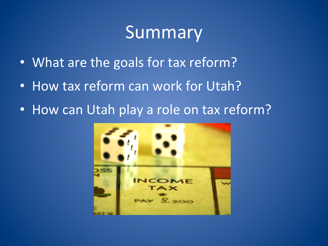#### Summary

- What are the goals for tax reform?
- How tax reform can work for Utah?
- How can Utah play a role on tax reform?

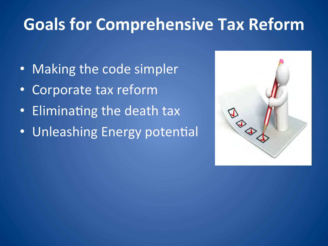## **Goals for Comprehensive Tax Reform**

- Making the code simpler
- Corporate tax reform
- Eliminating the death tax
- Unleashing Energy potential

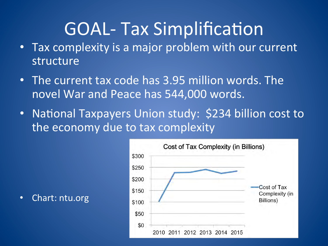## **GOAL- Tax Simplification**

- Tax complexity is a major problem with our current structure
- The current tax code has 3.95 million words. The novel War and Peace has 544,000 words.
- National Taxpayers Union study: \$234 billion cost to the economy due to tax complexity



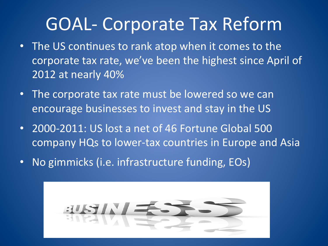## **GOAL- Corporate Tax Reform**

- The US continues to rank atop when it comes to the corporate tax rate, we've been the highest since April of 2012 at nearly 40%
- The corporate tax rate must be lowered so we can encourage businesses to invest and stay in the US
- 2000-2011: US lost a net of 46 Fortune Global 500 company HQs to lower-tax countries in Europe and Asia
- No gimmicks (i.e. infrastructure funding, EOs)

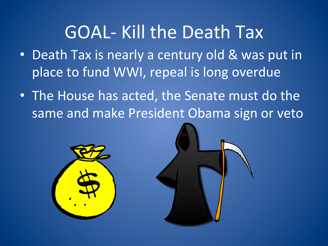## GOAL- Kill the Death Tax

- Death Tax is nearly a century old & was put in place to fund WWI, repeal is long overdue
- The House has acted, the Senate must do the same and make President Obama sign or veto



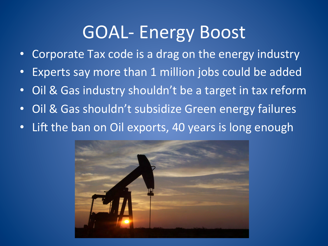#### **GOAL- Energy Boost**

- Corporate Tax code is a drag on the energy industry
- Experts say more than 1 million jobs could be added
- Oil & Gas industry shouldn't be a target in tax reform
- Oil & Gas shouldn't subsidize Green energy failures
- Lift the ban on Oil exports, 40 years is long enough

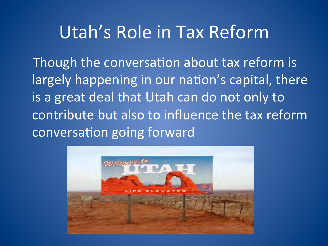#### Utah's Role in Tax Reform

Though the conversation about tax reform is largely happening in our nation's capital, there is a great deal that Utah can do not only to contribute but also to influence the tax reform conversation going forward

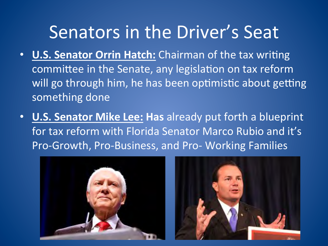## Senators in the Driver's Seat

- **U.S. Senator Orrin Hatch:** Chairman of the tax writing committee in the Senate, any legislation on tax reform will go through him, he has been optimistic about getting something done
- **U.S. Senator Mike Lee: Has** already put forth a blueprint for tax reform with Florida Senator Marco Rubio and it's Pro-Growth, Pro-Business, and Pro- Working Families



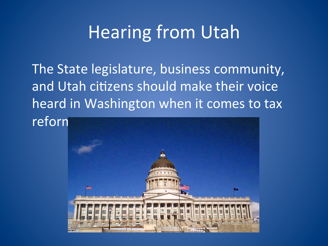## Hearing from Utah

The State legislature, business community, and Utah citizens should make their voice heard in Washington when it comes to tax reforn

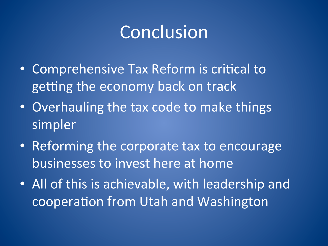## Conclusion

- Comprehensive Tax Reform is critical to getting the economy back on track
- Overhauling the tax code to make things simpler
- Reforming the corporate tax to encourage businesses to invest here at home
- All of this is achievable, with leadership and cooperation from Utah and Washington